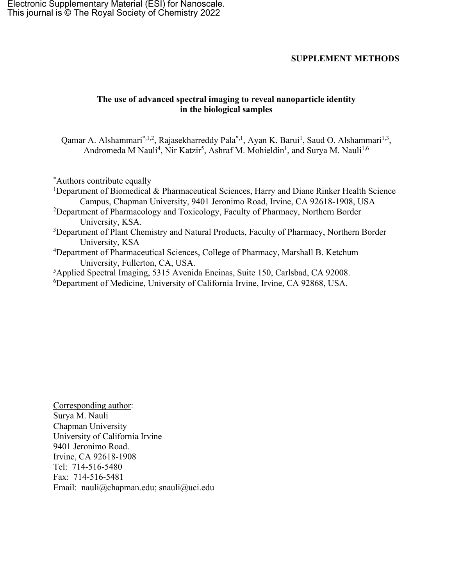Electronic Supplementary Material (ESI) for Nanoscale. This journal is © The Royal Society of Chemistry 2022

## **SUPPLEMENT METHODS**

## **The use of advanced spectral imaging to reveal nanoparticle identity in the biological samples**

Qamar A. Alshammari<sup>\*,1,2</sup>, Rajasekharreddy Pala<sup>\*,1</sup>, Ayan K. Barui<sup>1</sup>, Saud O. Alshammari<sup>1,3</sup>, Andromeda M Nauli<sup>4</sup>, Nir Katzir<sup>5</sup>, Ashraf M. Mohieldin<sup>1</sup>, and Surya M. Nauli<sup>1,6</sup>

\* Authors contribute equally

- <sup>1</sup>Department of Biomedical & Pharmaceutical Sciences, Harry and Diane Rinker Health Science Campus, Chapman University, 9401 Jeronimo Road, Irvine, CA 92618-1908, USA
- <sup>2</sup>Department of Pharmacology and Toxicology, Faculty of Pharmacy, Northern Border University, KSA.
- <sup>3</sup>Department of Plant Chemistry and Natural Products, Faculty of Pharmacy, Northern Border University, KSA
- <sup>4</sup>Department of Pharmaceutical Sciences, College of Pharmacy, Marshall B. Ketchum University, Fullerton, CA, USA.

5 Applied Spectral Imaging, 5315 Avenida Encinas, Suite 150, Carlsbad, CA 92008.

6 Department of Medicine, University of California Irvine, Irvine, CA 92868, USA.

Corresponding author: Surya M. Nauli Chapman University University of California Irvine 9401 Jeronimo Road. Irvine, CA 92618-1908 Tel: 714-516-5480 Fax: 714-516-5481 Email: nauli@chapman.edu; snauli@uci.edu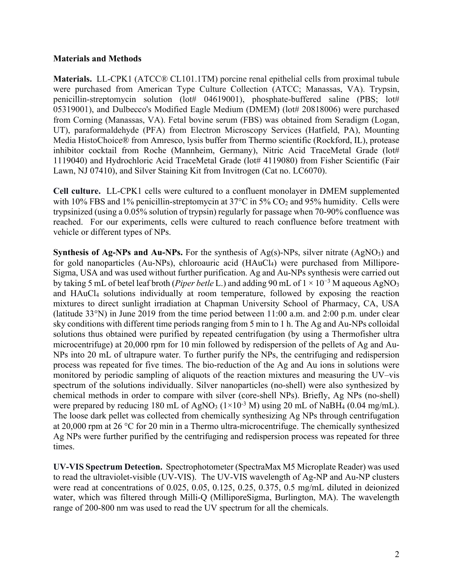## **Materials and Methods**

**Materials.** LL-CPK1 (ATCC® CL101.1TM) porcine renal epithelial cells from proximal tubule were purchased from American Type Culture Collection (ATCC; Manassas, VA). Trypsin, penicillin-streptomycin solution (lot# 04619001), phosphate-buffered saline (PBS; lot# 05319001), and Dulbecco's Modified Eagle Medium (DMEM) (lot# 20818006) were purchased from Corning (Manassas, VA). Fetal bovine serum (FBS) was obtained from Seradigm (Logan, UT), paraformaldehyde (PFA) from Electron Microscopy Services (Hatfield, PA), Mounting Media HistoChoice® from Amresco, lysis buffer from Thermo scientific (Rockford, IL), protease inhibitor cocktail from Roche (Mannheim, Germany), Nitric Acid TraceMetal Grade (lot# 1119040) and Hydrochloric Acid TraceMetal Grade (lot# 4119080) from Fisher Scientific (Fair Lawn, NJ 07410), and Silver Staining Kit from Invitrogen (Cat no. LC6070).

**Cell culture.** LL-CPK1 cells were cultured to a confluent monolayer in DMEM supplemented with 10% FBS and 1% penicillin-streptomycin at  $37^{\circ}$ C in  $5\%$  CO<sub>2</sub> and 95% humidity. Cells were trypsinized (using a 0.05% solution of trypsin) regularly for passage when 70-90% confluence was reached. For our experiments, cells were cultured to reach confluence before treatment with vehicle or different types of NPs.

**Synthesis of Ag-NPs and Au-NPs.** For the synthesis of Ag(s)-NPs, silver nitrate (AgNO<sub>3</sub>) and for gold nanoparticles (Au-NPs), chloroauric acid (HAuCl<sub>4</sub>) were purchased from Millipore-Sigma, USA and was used without further purification. Ag and Au-NPs synthesis were carried out by taking 5 mL of betel leaf broth (*Piper betle* L.) and adding 90 mL of 1 × 10−3 M aqueous AgNO3 and HAuCl4 solutions individually at room temperature, followed by exposing the reaction mixtures to direct sunlight irradiation at Chapman University School of Pharmacy, CA, USA (latitude 33°N) in June 2019 from the time period between 11:00 a.m. and 2:00 p.m. under clear sky conditions with different time periods ranging from 5 min to 1 h. The Ag and Au-NPs colloidal solutions thus obtained were purified by repeated centrifugation (by using a Thermofisher ultra microcentrifuge) at 20,000 rpm for 10 min followed by redispersion of the pellets of Ag and Au-NPs into 20 mL of ultrapure water. To further purify the NPs, the centrifuging and redispersion process was repeated for five times. The bio-reduction of the Ag and Au ions in solutions were monitored by periodic sampling of aliquots of the reaction mixtures and measuring the UV–vis spectrum of the solutions individually. Silver nanoparticles (no-shell) were also synthesized by chemical methods in order to compare with silver (core-shell NPs). Briefly, Ag NPs (no-shell) were prepared by reducing 180 mL of AgNO<sub>3</sub> ( $1\times10^{-3}$  M) using 20 mL of NaBH<sub>4</sub> (0.04 mg/mL). The loose dark pellet was collected from chemically synthesizing Ag NPs through centrifugation at 20,000 rpm at 26 °C for 20 min in a Thermo ultra-microcentrifuge. The chemically synthesized Ag NPs were further purified by the centrifuging and redispersion process was repeated for three times.

**UV-VIS Spectrum Detection.** Spectrophotometer (SpectraMax M5 Microplate Reader) was used to read the ultraviolet-visible (UV-VIS). The UV-VIS wavelength of Ag-NP and Au-NP clusters were read at concentrations of 0.025, 0.05, 0.125, 0.25, 0.375, 0.5 mg/mL diluted in deionized water, which was filtered through Milli-Q (MilliporeSigma, Burlington, MA). The wavelength range of 200-800 nm was used to read the UV spectrum for all the chemicals.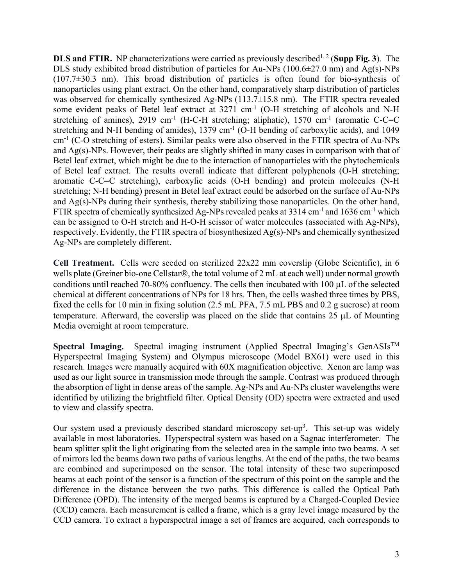**DLS and FTIR.** NP characterizations were carried as previously described<sup>1, 2</sup> (Supp Fig. 3). The DLS study exhibited broad distribution of particles for Au-NPs (100.6±27.0 nm) and Ag(s)-NPs  $(107.7\pm30.3 \text{ nm})$ . This broad distribution of particles is often found for bio-synthesis of nanoparticles using plant extract. On the other hand, comparatively sharp distribution of particles was observed for chemically synthesized Ag-NPs (113.7±15.8 nm). The FTIR spectra revealed some evident peaks of Betel leaf extract at 3271 cm<sup>-1</sup> (O-H stretching of alcohols and N-H stretching of amines), 2919 cm<sup>-1</sup> (H-C-H stretching; aliphatic), 1570 cm<sup>-1</sup> (aromatic C-C=C stretching and N-H bending of amides),  $1379 \text{ cm}^{-1}$  (O-H bending of carboxylic acids), and  $1049$ cm-1 (C-O stretching of esters). Similar peaks were also observed in the FTIR spectra of Au-NPs and Ag(s)-NPs. However, their peaks are slightly shifted in many cases in comparison with that of Betel leaf extract, which might be due to the interaction of nanoparticles with the phytochemicals of Betel leaf extract. The results overall indicate that different polyphenols (O-H stretching; aromatic C-C=C stretching), carboxylic acids (O-H bending) and protein molecules (N-H stretching; N-H bending) present in Betel leaf extract could be adsorbed on the surface of Au-NPs and Ag(s)-NPs during their synthesis, thereby stabilizing those nanoparticles. On the other hand, FTIR spectra of chemically synthesized Ag-NPs revealed peaks at  $3314 \text{ cm}^{-1}$  and  $1636 \text{ cm}^{-1}$  which can be assigned to O-H stretch and H-O-H scissor of water molecules (associated with Ag-NPs), respectively. Evidently, the FTIR spectra of biosynthesized Ag(s)-NPs and chemically synthesized Ag-NPs are completely different.

**Cell Treatment.** Cells were seeded on sterilized 22x22 mm coverslip (Globe Scientific), in 6 wells plate (Greiner bio-one Cellstar®, the total volume of 2 mL at each well) under normal growth conditions until reached 70-80% confluency. The cells then incubated with 100 µL of the selected chemical at different concentrations of NPs for 18 hrs. Then, the cells washed three times by PBS, fixed the cells for 10 min in fixing solution (2.5 mL PFA, 7.5 mL PBS and 0.2 g sucrose) at room temperature. Afterward, the coverslip was placed on the slide that contains 25 µL of Mounting Media overnight at room temperature.

Spectral Imaging. Spectral imaging instrument (Applied Spectral Imaging's GenASIs<sup>™</sup> Hyperspectral Imaging System) and Olympus microscope (Model BX61) were used in this research. Images were manually acquired with 60X magnification objective. Xenon arc lamp was used as our light source in transmission mode through the sample. Contrast was produced through the absorption of light in dense areas of the sample. Ag-NPs and Au-NPs cluster wavelengths were identified by utilizing the brightfield filter. Optical Density (OD) spectra were extracted and used to view and classify spectra.

Our system used a previously described standard microscopy set-up<sup>3</sup>. This set-up was widely available in most laboratories. Hyperspectral system was based on a Sagnac interferometer. The beam splitter split the light originating from the selected area in the sample into two beams. A set of mirrors led the beams down two paths of various lengths. At the end of the paths, the two beams are combined and superimposed on the sensor. The total intensity of these two superimposed beams at each point of the sensor is a function of the spectrum of this point on the sample and the difference in the distance between the two paths. This difference is called the Optical Path Difference (OPD). The intensity of the merged beams is captured by a Charged-Coupled Device (CCD) camera. Each measurement is called a frame, which is a gray level image measured by the CCD camera. To extract a hyperspectral image a set of frames are acquired, each corresponds to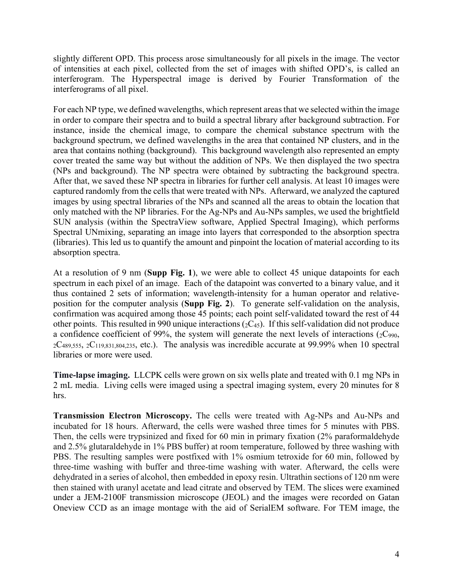slightly different OPD. This process arose simultaneously for all pixels in the image. The vector of intensities at each pixel, collected from the set of images with shifted OPD's, is called an interferogram. The Hyperspectral image is derived by Fourier Transformation of the interferograms of all pixel.

For each NP type, we defined wavelengths, which represent areas that we selected within the image in order to compare their spectra and to build a spectral library after background subtraction. For instance, inside the chemical image, to compare the chemical substance spectrum with the background spectrum, we defined wavelengths in the area that contained NP clusters, and in the area that contains nothing (background). This background wavelength also represented an empty cover treated the same way but without the addition of NPs. We then displayed the two spectra (NPs and background). The NP spectra were obtained by subtracting the background spectra. After that, we saved these NP spectra in libraries for further cell analysis. At least 10 images were captured randomly from the cells that were treated with NPs. Afterward, we analyzed the captured images by using spectral libraries of the NPs and scanned all the areas to obtain the location that only matched with the NP libraries. For the Ag-NPs and Au-NPs samples, we used the brightfield SUN analysis (within the SpectraView software, Applied Spectral Imaging), which performs Spectral UNmixing, separating an image into layers that corresponded to the absorption spectra (libraries). This led us to quantify the amount and pinpoint the location of material according to its absorption spectra.

At a resolution of 9 nm (**Supp Fig. 1**), we were able to collect 45 unique datapoints for each spectrum in each pixel of an image. Each of the datapoint was converted to a binary value, and it thus contained 2 sets of information; wavelength-intensity for a human operator and relativeposition for the computer analysis (**Supp Fig. 2**). To generate self-validation on the analysis, confirmation was acquired among those 45 points; each point self-validated toward the rest of 44 other points. This resulted in 990 unique interactions  $(2C_{45})$ . If this self-validation did not produce a confidence coefficient of 99%, the system will generate the next levels of interactions  $(2C_{990},$  $2C_{489,555}$ ,  $2C_{119,831,804,235}$ , etc.). The analysis was incredible accurate at 99.99% when 10 spectral libraries or more were used.

**Time-lapse imaging.** LLCPK cells were grown on six wells plate and treated with 0.1 mg NPs in 2 mL media. Living cells were imaged using a spectral imaging system, every 20 minutes for 8 hrs.

**Transmission Electron Microscopy.** The cells were treated with Ag-NPs and Au-NPs and incubated for 18 hours. Afterward, the cells were washed three times for 5 minutes with PBS. Then, the cells were trypsinized and fixed for 60 min in primary fixation (2% paraformaldehyde and 2.5% glutaraldehyde in 1% PBS buffer) at room temperature, followed by three washing with PBS. The resulting samples were postfixed with 1% osmium tetroxide for 60 min, followed by three-time washing with buffer and three-time washing with water. Afterward, the cells were dehydrated in a series of alcohol, then embedded in epoxy resin. Ultrathin sections of 120 nm were then stained with uranyl acetate and lead citrate and observed by TEM. The slices were examined under a JEM-2100F transmission microscope (JEOL) and the images were recorded on Gatan Oneview CCD as an image montage with the aid of SerialEM software. For TEM image, the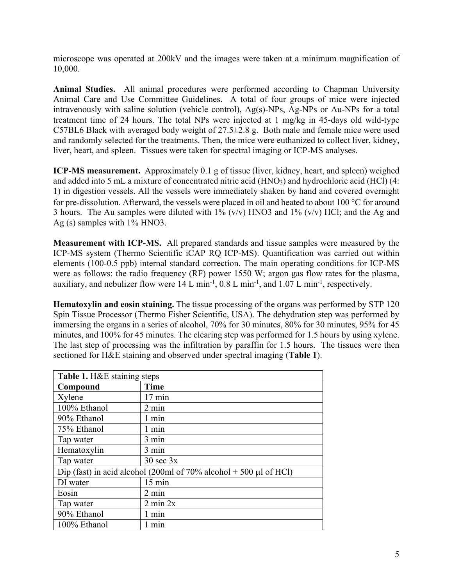microscope was operated at 200kV and the images were taken at a minimum magnification of 10,000.

**Animal Studies.** All animal procedures were performed according to Chapman University Animal Care and Use Committee Guidelines. A total of four groups of mice were injected intravenously with saline solution (vehicle control), Ag(s)-NPs, Ag-NPs or Au-NPs for a total treatment time of 24 hours. The total NPs were injected at 1 mg/kg in 45-days old wild-type C57BL6 Black with averaged body weight of  $27.5\pm2.8$  g. Both male and female mice were used and randomly selected for the treatments. Then, the mice were euthanized to collect liver, kidney, liver, heart, and spleen. Tissues were taken for spectral imaging or ICP-MS analyses.

**ICP-MS measurement.** Approximately 0.1 g of tissue (liver, kidney, heart, and spleen) weighed and added into 5 mL a mixture of concentrated nitric acid  $(HNO<sub>3</sub>)$  and hydrochloric acid  $(HCl)$  (4: 1) in digestion vessels. All the vessels were immediately shaken by hand and covered overnight for pre-dissolution. Afterward, the vessels were placed in oil and heated to about 100 °C for around 3 hours. The Au samples were diluted with  $1\%$  (v/v) HNO3 and  $1\%$  (v/v) HCl; and the Ag and Ag (s) samples with 1% HNO3.

**Measurement with ICP-MS.** All prepared standards and tissue samples were measured by the ICP-MS system (Thermo Scientific iCAP RQ ICP-MS). Quantification was carried out within elements (100-0.5 ppb) internal standard correction. The main operating conditions for ICP-MS were as follows: the radio frequency (RF) power 1550 W; argon gas flow rates for the plasma, auxiliary, and nebulizer flow were  $14 \text{ L min}^{-1}$ ,  $0.8 \text{ L min}^{-1}$ , and  $1.07 \text{ L min}^{-1}$ , respectively.

**Hematoxylin and eosin staining.** The tissue processing of the organs was performed by STP 120 Spin Tissue Processor (Thermo Fisher Scientific, USA). The dehydration step was performed by immersing the organs in a series of alcohol, 70% for 30 minutes, 80% for 30 minutes, 95% for 45 minutes, and 100% for 45 minutes. The clearing step was performed for 1.5 hours by using xylene. The last step of processing was the infiltration by paraffin for 1.5 hours. The tissues were then sectioned for H&E staining and observed under spectral imaging (**Table 1**).

| Table 1. H&E staining steps                                         |                      |
|---------------------------------------------------------------------|----------------------|
| Compound                                                            | <b>Time</b>          |
| Xylene                                                              | $17 \text{ min}$     |
| 100% Ethanol                                                        | $2 \text{ min}$      |
| 90% Ethanol                                                         | 1 min                |
| 75% Ethanol                                                         | 1 min                |
| Tap water                                                           | $3 \text{ min}$      |
| Hematoxylin                                                         | 3 min                |
| Tap water                                                           | $30 \text{ sec } 3x$ |
| Dip (fast) in acid alcohol (200ml of 70% alcohol $+$ 500 µl of HCl) |                      |
| DI water                                                            | $15 \text{ min}$     |
| Eosin                                                               | $2 \text{ min}$      |
| Tap water                                                           | $2 \text{ min } 2x$  |
| 90% Ethanol                                                         | 1 min                |
| 100% Ethanol                                                        | min                  |